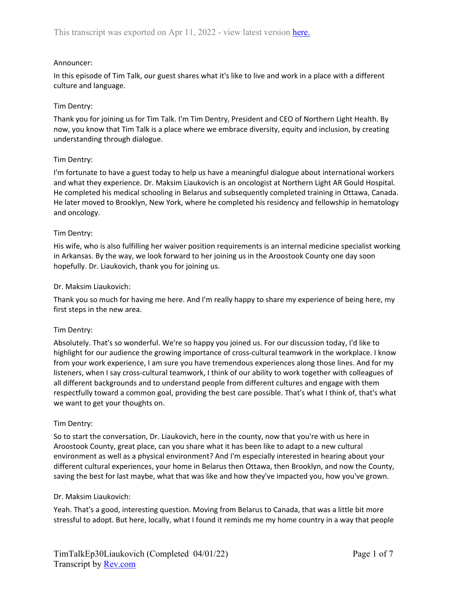## Announcer:

In this episode of Tim Talk, our guest shares what it's like to live and work in a place with a different culture and language.

## Tim Dentry:

Thank you for joining us for Tim Talk. I'm Tim Dentry, President and CEO of Northern Light Health. By now, you know that Tim Talk is a place where we embrace diversity, equity and inclusion, by creating understanding through dialogue.

## Tim Dentry:

I'm fortunate to have a guest today to help us have a meaningful dialogue about international workers and what they experience. Dr. Maksim Liaukovich is an oncologist at Northern Light AR Gould Hospital. He completed his medical schooling in Belarus and subsequently completed training in Ottawa, Canada. He later moved to Brooklyn, New York, where he completed his residency and fellowship in hematology and oncology.

## Tim Dentry:

His wife, who is also fulfilling her waiver position requirements is an internal medicine specialist working in Arkansas. By the way, we look forward to her joining us in the Aroostook County one day soon hopefully. Dr. Liaukovich, thank you for joining us.

## Dr. Maksim Liaukovich:

Thank you so much for having me here. And I'm really happy to share my experience of being here, my first steps in the new area.

### Tim Dentry:

Absolutely. That's so wonderful. We're so happy you joined us. For our discussion today, I'd like to highlight for our audience the growing importance of cross-cultural teamwork in the workplace. I know from your work experience, I am sure you have tremendous experiences along those lines. And for my listeners, when I say cross-cultural teamwork, I think of our ability to work together with colleagues of all different backgrounds and to understand people from different cultures and engage with them respectfully toward a common goal, providing the best care possible. That's what I think of, that's what we want to get your thoughts on.

### Tim Dentry:

So to start the conversation, Dr. Liaukovich, here in the county, now that you're with us here in Aroostook County, great place, can you share what it has been like to adapt to a new cultural environment as well as a physical environment? And I'm especially interested in hearing about your different cultural experiences, your home in Belarus then Ottawa, then Brooklyn, and now the County, saving the best for last maybe, what that was like and how they've impacted you, how you've grown.

### Dr. Maksim Liaukovich:

Yeah. That's a good, interesting question. Moving from Belarus to Canada, that was a little bit more stressful to adopt. But here, locally, what I found it reminds me my home country in a way that people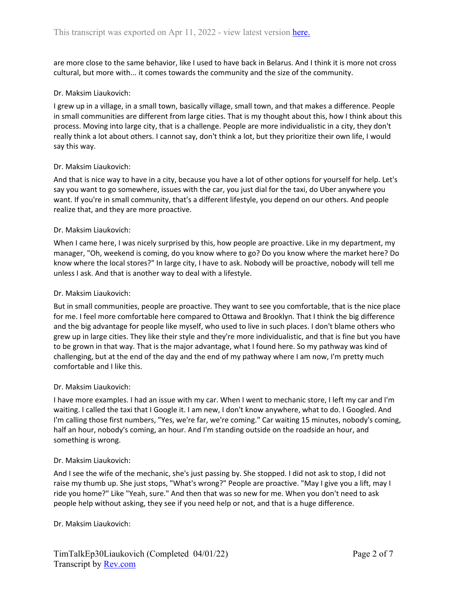are more close to the same behavior, like I used to have back in Belarus. And I think it is more not cross cultural, but more with... it comes towards the community and the size of the community.

#### Dr. Maksim Liaukovich:

I grew up in a village, in a small town, basically village, small town, and that makes a difference. People in small communities are different from large cities. That is my thought about this, how I think about this process. Moving into large city, that is a challenge. People are more individualistic in a city, they don't really think a lot about others. I cannot say, don't think a lot, but they prioritize their own life, I would say this way.

#### Dr. Maksim Liaukovich:

And that is nice way to have in a city, because you have a lot of other options for yourself for help. Let's say you want to go somewhere, issues with the car, you just dial for the taxi, do Uber anywhere you want. If you're in small community, that's a different lifestyle, you depend on our others. And people realize that, and they are more proactive.

#### Dr. Maksim Liaukovich:

When I came here, I was nicely surprised by this, how people are proactive. Like in my department, my manager, "Oh, weekend is coming, do you know where to go? Do you know where the market here? Do know where the local stores?" In large city, I have to ask. Nobody will be proactive, nobody will tell me unless I ask. And that is another way to deal with a lifestyle.

#### Dr. Maksim Liaukovich:

But in small communities, people are proactive. They want to see you comfortable, that is the nice place for me. I feel more comfortable here compared to Ottawa and Brooklyn. That I think the big difference and the big advantage for people like myself, who used to live in such places. I don't blame others who grew up in large cities. They like their style and they're more individualistic, and that is fine but you have to be grown in that way. That is the major advantage, what I found here. So my pathway was kind of challenging, but at the end of the day and the end of my pathway where I am now, I'm pretty much comfortable and I like this.

#### Dr. Maksim Liaukovich:

I have more examples. I had an issue with my car. When I went to mechanic store, I left my car and I'm waiting. I called the taxi that I Google it. I am new, I don't know anywhere, what to do. I Googled. And I'm calling those first numbers, "Yes, we're far, we're coming." Car waiting 15 minutes, nobody's coming, half an hour, nobody's coming, an hour. And I'm standing outside on the roadside an hour, and something is wrong.

#### Dr. Maksim Liaukovich:

And I see the wife of the mechanic, she's just passing by. She stopped. I did not ask to stop, I did not raise my thumb up. She just stops, "What's wrong?" People are proactive. "May I give you a lift, may I ride you home?" Like "Yeah, sure." And then that was so new for me. When you don't need to ask people help without asking, they see if you need help or not, and that is a huge difference.

#### Dr. Maksim Liaukovich: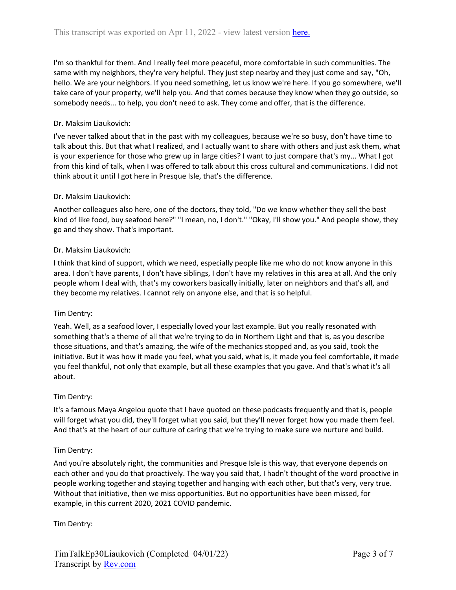I'm so thankful for them. And I really feel more peaceful, more comfortable in such communities. The same with my neighbors, they're very helpful. They just step nearby and they just come and say, "Oh, hello. We are your neighbors. If you need something, let us know we're here. If you go somewhere, we'll take care of your property, we'll help you. And that comes because they know when they go outside, so somebody needs... to help, you don't need to ask. They come and offer, that is the difference.

# Dr. Maksim Liaukovich:

I've never talked about that in the past with my colleagues, because we're so busy, don't have time to talk about this. But that what I realized, and I actually want to share with others and just ask them, what is your experience for those who grew up in large cities? I want to just compare that's my... What I got from this kind of talk, when I was offered to talk about this cross cultural and communications. I did not think about it until I got here in Presque Isle, that's the difference.

## Dr. Maksim Liaukovich:

Another colleagues also here, one of the doctors, they told, "Do we know whether they sell the best kind of like food, buy seafood here?" "I mean, no, I don't." "Okay, I'll show you." And people show, they go and they show. That's important.

## Dr. Maksim Liaukovich:

I think that kind of support, which we need, especially people like me who do not know anyone in this area. I don't have parents, I don't have siblings, I don't have my relatives in this area at all. And the only people whom I deal with, that's my coworkers basically initially, later on neighbors and that's all, and they become my relatives. I cannot rely on anyone else, and that is so helpful.

### Tim Dentry:

Yeah. Well, as a seafood lover, I especially loved your last example. But you really resonated with something that's a theme of all that we're trying to do in Northern Light and that is, as you describe those situations, and that's amazing, the wife of the mechanics stopped and, as you said, took the initiative. But it was how it made you feel, what you said, what is, it made you feel comfortable, it made you feel thankful, not only that example, but all these examples that you gave. And that's what it's all about.

### Tim Dentry:

It's a famous Maya Angelou quote that I have quoted on these podcasts frequently and that is, people will forget what you did, they'll forget what you said, but they'll never forget how you made them feel. And that's at the heart of our culture of caring that we're trying to make sure we nurture and build.

### Tim Dentry:

And you're absolutely right, the communities and Presque Isle is this way, that everyone depends on each other and you do that proactively. The way you said that, I hadn't thought of the word proactive in people working together and staying together and hanging with each other, but that's very, very true. Without that initiative, then we miss opportunities. But no opportunities have been missed, for example, in this current 2020, 2021 COVID pandemic.

Tim Dentry: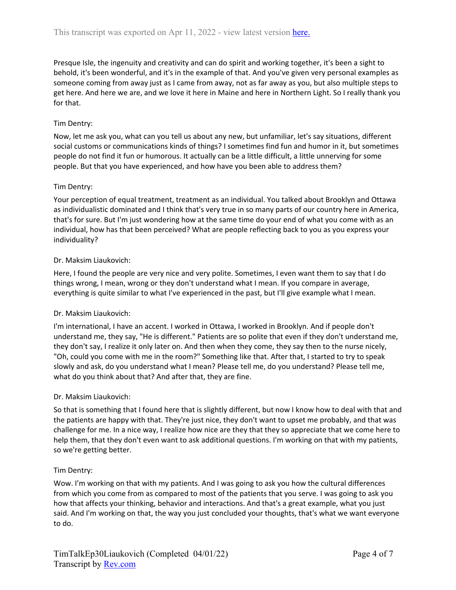Presque Isle, the ingenuity and creativity and can do spirit and working together, it's been a sight to behold, it's been wonderful, and it's in the example of that. And you've given very personal examples as someone coming from away just as I came from away, not as far away as you, but also multiple steps to get here. And here we are, and we love it here in Maine and here in Northern Light. So I really thank you for that.

# Tim Dentry:

Now, let me ask you, what can you tell us about any new, but unfamiliar, let's say situations, different social customs or communications kinds of things? I sometimes find fun and humor in it, but sometimes people do not find it fun or humorous. It actually can be a little difficult, a little unnerving for some people. But that you have experienced, and how have you been able to address them?

## Tim Dentry:

Your perception of equal treatment, treatment as an individual. You talked about Brooklyn and Ottawa as individualistic dominated and I think that's very true in so many parts of our country here in America, that's for sure. But I'm just wondering how at the same time do your end of what you come with as an individual, how has that been perceived? What are people reflecting back to you as you express your individuality?

## Dr. Maksim Liaukovich:

Here, I found the people are very nice and very polite. Sometimes, I even want them to say that I do things wrong, I mean, wrong or they don't understand what I mean. If you compare in average, everything is quite similar to what I've experienced in the past, but I'll give example what I mean.

### Dr. Maksim Liaukovich:

I'm international, I have an accent. I worked in Ottawa, I worked in Brooklyn. And if people don't understand me, they say, "He is different." Patients are so polite that even if they don't understand me, they don't say, I realize it only later on. And then when they come, they say then to the nurse nicely, "Oh, could you come with me in the room?" Something like that. After that, I started to try to speak slowly and ask, do you understand what I mean? Please tell me, do you understand? Please tell me, what do you think about that? And after that, they are fine.

### Dr. Maksim Liaukovich:

So that is something that I found here that is slightly different, but now I know how to deal with that and the patients are happy with that. They're just nice, they don't want to upset me probably, and that was challenge for me. In a nice way, I realize how nice are they that they so appreciate that we come here to help them, that they don't even want to ask additional questions. I'm working on that with my patients, so we're getting better.

### Tim Dentry:

Wow. I'm working on that with my patients. And I was going to ask you how the cultural differences from which you come from as compared to most of the patients that you serve. I was going to ask you how that affects your thinking, behavior and interactions. And that's a great example, what you just said. And I'm working on that, the way you just concluded your thoughts, that's what we want everyone to do.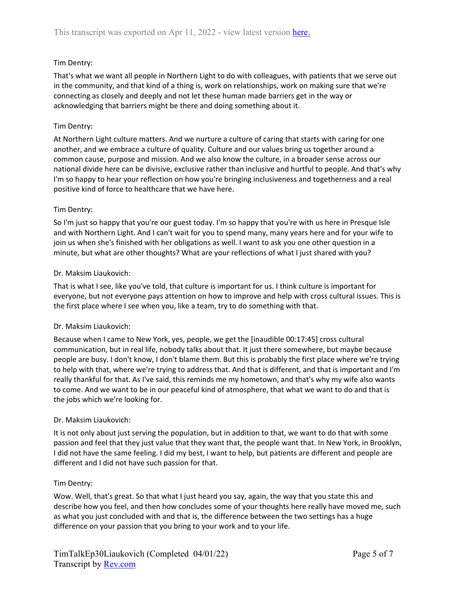# Tim Dentry:

That's what we want all people in Northern Light to do with colleagues, with patients that we serve out in the community, and that kind of a thing is, work on relationships, work on making sure that we're connecting as closely and deeply and not let these human made barriers get in the way or acknowledging that barriers might be there and doing something about it.

# Tim Dentry:

At Northern Light culture matters. And we nurture a culture of caring that starts with caring for one another, and we embrace a culture of quality. Culture and our values bring us together around a common cause, purpose and mission. And we also know the culture, in a broader sense across our national divide here can be divisive, exclusive rather than inclusive and hurtful to people. And that's why I'm so happy to hear your reflection on how you're bringing inclusiveness and togetherness and a real positive kind of force to healthcare that we have here.

## Tim Dentry:

So I'm just so happy that you're our guest today. I'm so happy that you're with us here in Presque Isle and with Northern Light. And I can't wait for you to spend many, many years here and for your wife to join us when she's finished with her obligations as well. I want to ask you one other question in a minute, but what are other thoughts? What are your reflections of what I just shared with you?

## Dr. Maksim Liaukovich:

That is what I see, like you've told, that culture is important for us. I think culture is important for everyone, but not everyone pays attention on how to improve and help with cross cultural issues. This is the first place where I see when you, like a team, try to do something with that.

### Dr. Maksim Liaukovich:

Because when I came to New York, yes, people, we get the [inaudible 00:17:45] cross cultural communication, but in real life, nobody talks about that. It just there somewhere, but maybe because people are busy. I don't know, I don't blame them. But this is probably the first place where we're trying to help with that, where we're trying to address that. And that is different, and that is important and I'm really thankful for that. As I've said, this reminds me my hometown, and that's why my wife also wants to come. And we want to be in our peaceful kind of atmosphere, that what we want to do and that is the jobs which we're looking for.

# Dr. Maksim Liaukovich:

It is not only about just serving the population, but in addition to that, we want to do that with some passion and feel that they just value that they want that, the people want that. In New York, in Brooklyn, I did not have the same feeling. I did my best, I want to help, but patients are different and people are different and I did not have such passion for that.

### Tim Dentry:

Wow. Well, that's great. So that what I just heard you say, again, the way that you state this and describe how you feel, and then how concludes some of your thoughts here really have moved me, such as what you just concluded with and that is, the difference between the two settings has a huge difference on your passion that you bring to your work and to your life.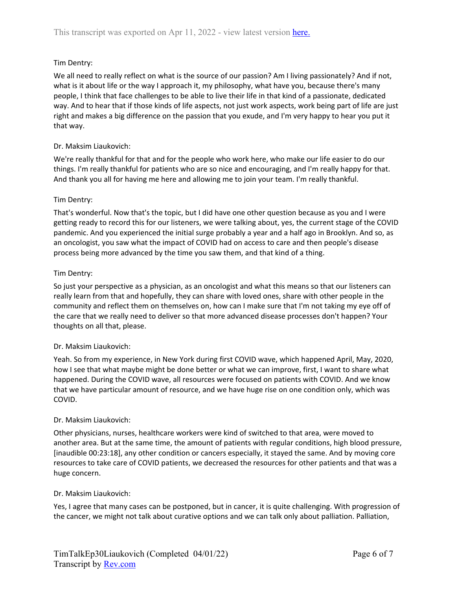# Tim Dentry:

We all need to really reflect on what is the source of our passion? Am I living passionately? And if not, what is it about life or the way I approach it, my philosophy, what have you, because there's many people, I think that face challenges to be able to live their life in that kind of a passionate, dedicated way. And to hear that if those kinds of life aspects, not just work aspects, work being part of life are just right and makes a big difference on the passion that you exude, and I'm very happy to hear you put it that way.

## Dr. Maksim Liaukovich:

We're really thankful for that and for the people who work here, who make our life easier to do our things. I'm really thankful for patients who are so nice and encouraging, and I'm really happy for that. And thank you all for having me here and allowing me to join your team. I'm really thankful.

## Tim Dentry:

That's wonderful. Now that's the topic, but I did have one other question because as you and I were getting ready to record this for our listeners, we were talking about, yes, the current stage of the COVID pandemic. And you experienced the initial surge probably a year and a half ago in Brooklyn. And so, as an oncologist, you saw what the impact of COVID had on access to care and then people's disease process being more advanced by the time you saw them, and that kind of a thing.

## Tim Dentry:

So just your perspective as a physician, as an oncologist and what this means so that our listeners can really learn from that and hopefully, they can share with loved ones, share with other people in the community and reflect them on themselves on, how can I make sure that I'm not taking my eye off of the care that we really need to deliver so that more advanced disease processes don't happen? Your thoughts on all that, please.

# Dr. Maksim Liaukovich:

Yeah. So from my experience, in New York during first COVID wave, which happened April, May, 2020, how I see that what maybe might be done better or what we can improve, first, I want to share what happened. During the COVID wave, all resources were focused on patients with COVID. And we know that we have particular amount of resource, and we have huge rise on one condition only, which was COVID.

# Dr. Maksim Liaukovich:

Other physicians, nurses, healthcare workers were kind of switched to that area, were moved to another area. But at the same time, the amount of patients with regular conditions, high blood pressure, [inaudible 00:23:18], any other condition or cancers especially, it stayed the same. And by moving core resources to take care of COVID patients, we decreased the resources for other patients and that was a huge concern.

# Dr. Maksim Liaukovich:

Yes, I agree that many cases can be postponed, but in cancer, it is quite challenging. With progression of the cancer, we might not talk about curative options and we can talk only about palliation. Palliation,